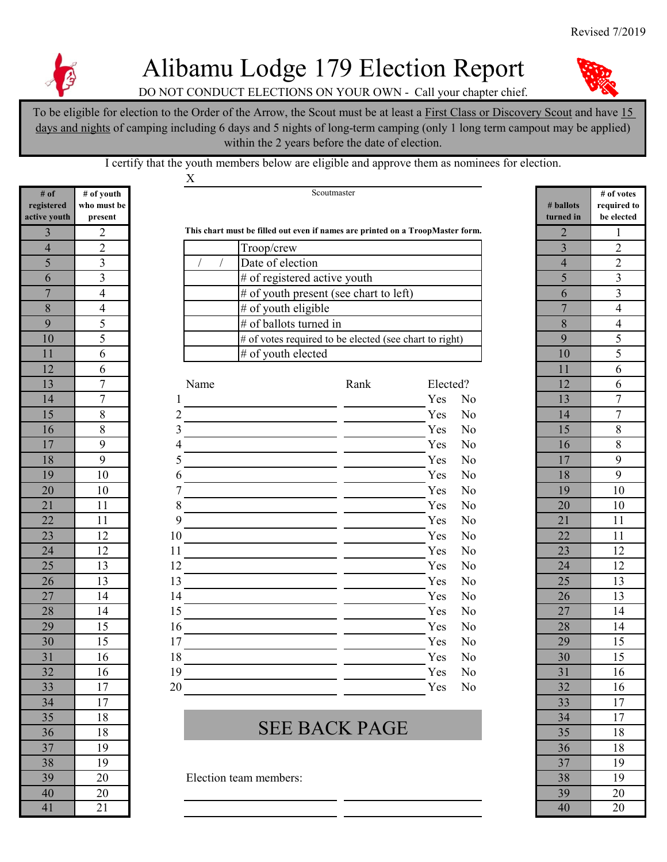

## Alibamu Lodge 179 Election Report

DO NOT CONDUCT ELECTIONS ON YOUR OWN - Call your chapter chief.

To be eligible for election to the Order of the Arrow, the Scout must be at least a First Class or Discovery Scout and have 15 days and nights of camping including 6 days and 5 nights of long-term camping (only 1 long term campout may be applied) within the 2 years before the date of election.

I certify that the youth members below are eligible and approve them as nominees for election.

X

| # of           | # of youth              |    |      |                                                                                | Scoutmaster          |           |                |                         | # of $v_0$     |
|----------------|-------------------------|----|------|--------------------------------------------------------------------------------|----------------------|-----------|----------------|-------------------------|----------------|
| registered     | who must be             |    |      |                                                                                |                      | # ballots | require        |                         |                |
| active youth   | present                 |    |      |                                                                                |                      | turned in | be elec        |                         |                |
| 3              | $\overline{2}$          |    |      | This chart must be filled out even if names are printed on a TroopMaster form. |                      |           |                | $\overline{2}$          | $\mathbf{1}$   |
| $\overline{4}$ | $\overline{2}$          |    |      | Troop/crew                                                                     |                      |           |                | $\overline{\mathbf{3}}$ | $\overline{2}$ |
| 5              | 3                       |    |      | Date of election                                                               |                      |           |                | $\overline{4}$          | $\overline{2}$ |
| 6              | 3                       |    |      | # of registered active youth                                                   |                      |           |                | 5                       | $\overline{3}$ |
| $\overline{7}$ | $\overline{\mathbf{4}}$ |    |      | # of youth present (see chart to left)                                         |                      |           |                | 6                       | $\mathfrak{Z}$ |
| 8              | 4                       |    |      | # of youth eligible                                                            |                      |           |                | $\overline{7}$          | $\overline{4}$ |
| 9              | 5                       |    |      | $\overline{\#}$ of ballots turned in                                           |                      |           |                | 8                       | $\overline{4}$ |
| 10             | 5                       |    |      | # of votes required to be elected (see chart to right)                         |                      |           |                | 9                       | 5              |
| 11             | 6                       |    |      | # of youth elected                                                             |                      |           |                | 10                      | 5              |
| 12             | 6                       |    |      |                                                                                |                      |           |                | 11                      | 6              |
| 13             | $\boldsymbol{7}$        |    | Name |                                                                                | Rank                 | Elected?  |                | 12                      | 6              |
| 14             | $\boldsymbol{7}$        |    |      |                                                                                |                      | Yes       | N <sub>o</sub> | 13                      | $\tau$         |
| 15             | 8                       | 2  |      |                                                                                |                      | Yes       | N <sub>o</sub> | 14                      | $\overline{7}$ |
| 16             | 8                       | 3  |      |                                                                                |                      | Yes       | N <sub>o</sub> | 15                      | $8\,$          |
| 17             | 9                       | 4  |      |                                                                                |                      | Yes       | N <sub>o</sub> | 16                      | $8\,$          |
| 18             | 9                       | 5  |      |                                                                                |                      | Yes       | N <sub>o</sub> | 17                      | $\mathbf{9}$   |
| 19             | 10                      | 6  |      |                                                                                |                      | Yes       | N <sub>o</sub> | 18                      | 9              |
| 20             | 10                      |    |      |                                                                                |                      | Yes       | N <sub>o</sub> | 19                      | 10             |
| 21             | 11                      |    |      |                                                                                |                      | Yes       | N <sub>o</sub> | 20                      | 10             |
| 22             | 11                      | 9  |      |                                                                                |                      | Yes       | N <sub>o</sub> | 21                      | 11             |
| 23             | 12                      | 10 |      |                                                                                |                      | Yes       | N <sub>o</sub> | 22                      | 11             |
| 24             | 12                      | 11 |      |                                                                                |                      | Yes       | N <sub>o</sub> | 23                      | 12             |
| 25             | 13                      | 12 |      |                                                                                |                      | Yes       | N <sub>o</sub> | 24                      | 12             |
| 26             | 13                      | 13 |      |                                                                                |                      | Yes       | N <sub>o</sub> | 25                      | 13             |
| 27             | 14                      | 14 |      |                                                                                |                      | Yes       | N <sub>o</sub> | 26                      | 13             |
| 28             | 14                      | 15 |      |                                                                                |                      | Yes       | N <sub>o</sub> | 27                      | 14             |
| 29             | 15                      | 16 |      |                                                                                |                      | Yes       | No             | 28                      | 14             |
| 30             | 15                      | 17 |      |                                                                                |                      | Yes       | N <sub>o</sub> | 29                      | 15             |
| 31             | 16                      | 18 |      |                                                                                |                      | Yes       | N <sub>o</sub> | 30                      | 15             |
| 32             | $16\,$                  | 19 |      |                                                                                |                      | Yes       | No             | $\overline{31}$         | 16             |
| 33             | 17                      | 20 |      |                                                                                |                      | Yes       | N <sub>o</sub> | 32                      | 16             |
| 34             | 17                      |    |      |                                                                                |                      |           |                | 33                      | 17             |
| 35             | 18                      |    |      |                                                                                | <b>SEE BACK PAGE</b> |           |                | 34                      | 17             |
| 36             | 18                      |    |      |                                                                                |                      |           |                | 35                      | 18             |
| 37             | 19                      |    |      |                                                                                |                      |           |                | 36                      | 18             |
| 38             | 19                      |    |      |                                                                                |                      |           |                | 37                      | 19             |
| 39             | 20                      |    |      | Election team members:                                                         |                      |           |                | 38                      | 19             |
| 40             | 20                      |    |      |                                                                                |                      |           |                | 39                      | 20             |
| 41             | 21                      |    |      |                                                                                |                      |           |                | 40                      | 20             |

| $\bullet$ , $\bullet$ $\bullet$ $\bullet$ $\bullet$ | . |                                                                                |  |  |  |
|-----------------------------------------------------|---|--------------------------------------------------------------------------------|--|--|--|
|                                                     |   | This chart must be filled out even if names are printed on a TroopMaster form. |  |  |  |
|                                                     |   | Troop/crew                                                                     |  |  |  |
|                                                     |   | Date of election                                                               |  |  |  |
|                                                     |   | $#$ of registered active youth                                                 |  |  |  |
|                                                     |   | $#$ of youth present (see chart to left)                                       |  |  |  |
|                                                     |   | $#$ of youth eligible                                                          |  |  |  |
|                                                     |   | # of ballots turned in                                                         |  |  |  |
| 10                                                  |   | $#$ of votes required to be elected (see chart to right)                       |  |  |  |
|                                                     |   | $#$ of youth elected                                                           |  |  |  |

| 13 | $\overline{7}$ | Name | Rank | Elected?              | 12 | 6      |
|----|----------------|------|------|-----------------------|----|--------|
| 14 | $\tau$         |      |      | Yes<br>No             | 13 | $\tau$ |
| 15 | $\,8\,$        |      |      | Yes<br>No             | 14 | $\tau$ |
| 16 | $\,8\,$        |      |      | Yes<br>No             | 15 | $8\,$  |
| 17 | 9              |      |      | Yes<br>No             | 16 | $8\,$  |
| 18 | 9              | 5    |      | Yes<br>No             | 17 | 9      |
| 19 | 10             | 6    |      | Yes<br>N <sub>0</sub> | 18 | 9      |
| 20 | 10             |      |      | Yes<br>N <sub>0</sub> | 19 | 10     |
| 21 | 11             | 8    |      | Yes<br>N <sub>0</sub> | 20 | 10     |
| 22 | 11             | 9    |      | Yes<br>No             | 21 | 11     |
| 23 | 12             | 10   |      | Yes<br>No             | 22 | 11     |
| 24 | 12             | 11   |      | Yes<br>No             | 23 | 12     |
| 25 | 13             | 12   |      | Yes<br>No             | 24 | 12     |
| 26 | 13             | 13   |      | Yes<br>No             | 25 | 13     |
| 27 | 14             | 14   |      | Yes<br>No             | 26 | 13     |
| 28 | 14             | 15   |      | Yes<br>No             | 27 | 14     |
| 29 | 15             | 16   |      | Yes<br>No             | 28 | 14     |
| 30 | 15             | 17   |      | Yes<br>No             | 29 | 15     |
| 31 | 16             | 18   |      | Yes<br>No             | 30 | 15     |
| 32 | 16             | 19   |      | Yes<br>No             | 31 | 16     |
| 33 | 17             | 20   |      | Yes<br>N <sub>o</sub> | 32 | 16     |

## $\frac{35}{36}$  18 35 18

|                                     | # of votes                          |
|-------------------------------------|-------------------------------------|
| # ballots                           | required to                         |
| turned in                           | be elected                          |
| $\overline{2}$                      | $\mathbf{1}$                        |
|                                     | $\overline{2}$                      |
|                                     | $\overline{2}$                      |
|                                     |                                     |
| $rac{3}{4}$ $rac{4}{5}$ $rac{6}{7}$ |                                     |
|                                     | $\frac{3}{3}$ $\frac{4}{4}$         |
| 8                                   |                                     |
| 9                                   |                                     |
| 10                                  |                                     |
| $\overline{11}$                     | $rac{5}{5}$ $rac{5}{6}$ $rac{6}{7}$ |
| $\frac{12}{13}$                     |                                     |
|                                     |                                     |
| $\overline{14}$                     | $\overline{7}$                      |
| $\frac{15}{15}$                     | $\overline{8}$                      |
| 16                                  | $\frac{8}{9}$                       |
| 17                                  |                                     |
| 18                                  | $\overline{9}$                      |
| 19                                  | 10                                  |
| $\overline{20}$                     | $\overline{10}$                     |
| $\frac{21}{22}$                     | $\overline{11}$                     |
|                                     | $\overline{11}$                     |
| $\overline{23}$                     | $\overline{12}$                     |
| $\overline{24}$                     | $\overline{12}$                     |
| $\overline{25}$                     | 13                                  |
| 26                                  | $\overline{13}$                     |
| $\overline{27}$                     | $\overline{14}$                     |
| 28                                  | $\frac{1}{14}$                      |
| 29                                  | $\overline{15}$                     |
| $\overline{30}$                     | $\overline{15}$                     |
| $\overline{31}$                     | 16                                  |
| $\overline{32}$                     | 16                                  |
| $\frac{33}{2}$                      | 17                                  |
| 34                                  | $\frac{17}{18}$                     |
| $\frac{35}{36}$                     |                                     |
|                                     | 18                                  |
| $\overline{37}$                     | $\frac{19}{2}$                      |
| 38                                  | $\overline{19}$                     |
| 39                                  | $\overline{20}$                     |
| $\overline{40}$                     | $\overline{20}$                     |